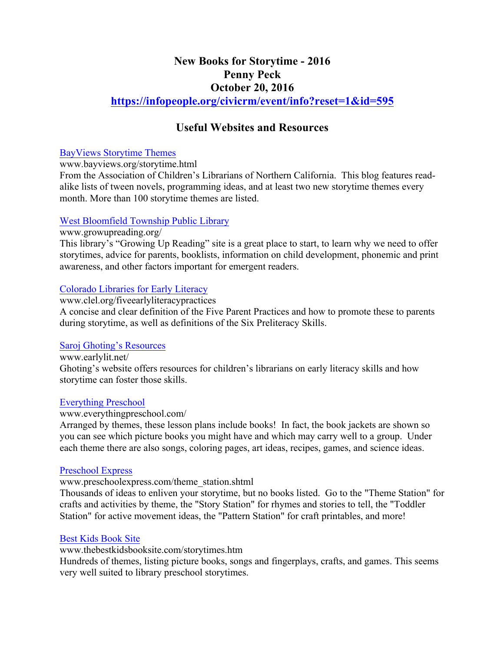# **New Books for Storytime - 2016 Penny Peck October 20, 2016**

**https://infopeople.org/civicrm/event/info?reset=1&id=595**

## **Useful Websites and Resources**

#### BayViews Storytime Themes

www.bayviews.org/storytime.html

From the Association of Children's Librarians of Northern California. This blog features readalike lists of tween novels, programming ideas, and at least two new storytime themes every month. More than 100 storytime themes are listed.

## West Bloomfield Township Public Library

www.growupreading.org/

This library's "Growing Up Reading" site is a great place to start, to learn why we need to offer storytimes, advice for parents, booklists, information on child development, phonemic and print awareness, and other factors important for emergent readers.

## Colorado Libraries for Early Literacy

www.clel.org/fiveearlyliteracypractices

A concise and clear definition of the Five Parent Practices and how to promote these to parents during storytime, as well as definitions of the Six Preliteracy Skills.

## Saroj Ghoting's Resources

www.earlylit.net/ Ghoting's website offers resources for children's librarians on early literacy skills and how storytime can foster those skills.

## Everything Preschool

## www.everythingpreschool.com/

Arranged by themes, these lesson plans include books! In fact, the book jackets are shown so you can see which picture books you might have and which may carry well to a group. Under each theme there are also songs, coloring pages, art ideas, recipes, games, and science ideas.

## Preschool Express

## www.preschoolexpress.com/theme\_station.shtml

Thousands of ideas to enliven your storytime, but no books listed. Go to the "Theme Station" for crafts and activities by theme, the "Story Station" for rhymes and stories to tell, the "Toddler Station" for active movement ideas, the "Pattern Station" for craft printables, and more!

## Best Kids Book Site

www.thebestkidsbooksite.com/storytimes.htm

Hundreds of themes, listing picture books, songs and fingerplays, crafts, and games. This seems very well suited to library preschool storytimes.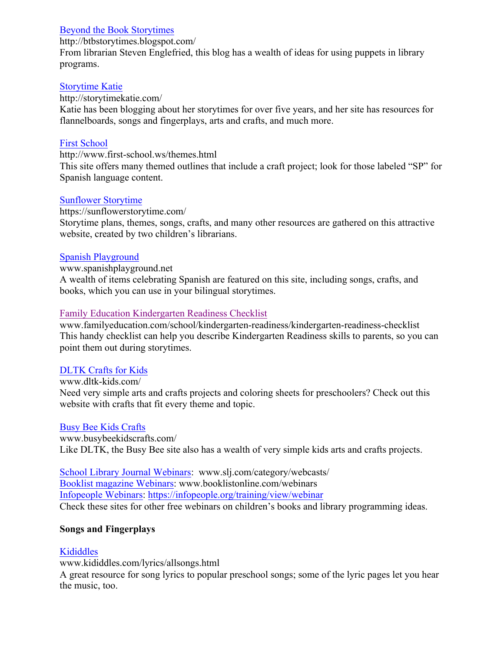## Beyond the Book Storytimes

http://btbstorytimes.blogspot.com/

From librarian Steven Englefried, this blog has a wealth of ideas for using puppets in library programs.

## Storytime Katie

http://storytimekatie.com/

Katie has been blogging about her storytimes for over five years, and her site has resources for flannelboards, songs and fingerplays, arts and crafts, and much more.

## First School

http://www.first-school.ws/themes.html

This site offers many themed outlines that include a craft project; look for those labeled "SP" for Spanish language content.

## Sunflower Storytime

https://sunflowerstorytime.com/

Storytime plans, themes, songs, crafts, and many other resources are gathered on this attractive website, created by two children's librarians.

## Spanish Playground

#### www.spanishplayground.net

A wealth of items celebrating Spanish are featured on this site, including songs, crafts, and books, which you can use in your bilingual storytimes.

## Family Education Kindergarten Readiness Checklist

www.familyeducation.com/school/kindergarten-readiness/kindergarten-readiness-checklist This handy checklist can help you describe Kindergarten Readiness skills to parents, so you can point them out during storytimes.

## DLTK Crafts for Kids

www.dltk-kids.com/ Need very simple arts and crafts projects and coloring sheets for preschoolers? Check out this website with crafts that fit every theme and topic.

## Busy Bee Kids Crafts

www.busybeekidscrafts.com/ Like DLTK, the Busy Bee site also has a wealth of very simple kids arts and crafts projects.

School Library Journal Webinars: www.slj.com/category/webcasts/ Booklist magazine Webinars: www.booklistonline.com/webinars Infopeople Webinars: https://infopeople.org/training/view/webinar Check these sites for other free webinars on children's books and library programming ideas.

## **Songs and Fingerplays**

## Kididdles

www.kididdles.com/lyrics/allsongs.html

A great resource for song lyrics to popular preschool songs; some of the lyric pages let you hear the music, too.